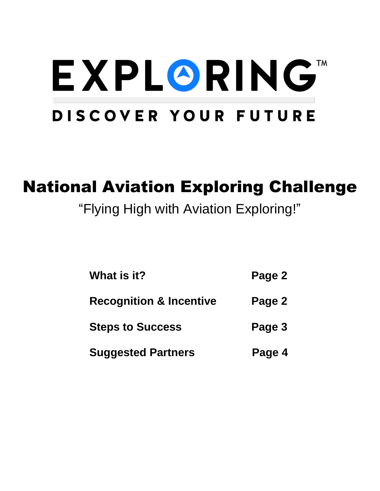# EXPLORINGTM DISCOVER YOUR FUTURE

# National Aviation Exploring Challenge

## "Flying High with Aviation Exploring!"

| What is it?                        | Page 2 |
|------------------------------------|--------|
| <b>Recognition &amp; Incentive</b> | Page 2 |
| <b>Steps to Success</b>            | Page 3 |
| <b>Suggested Partners</b>          | Page 4 |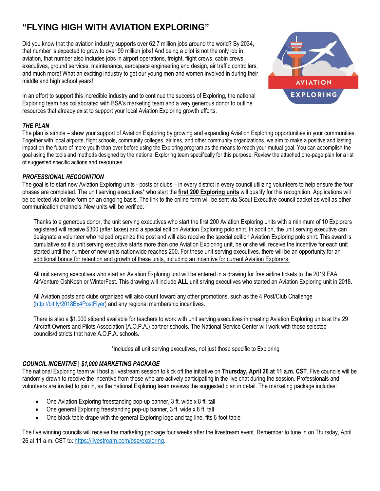### **"FLYING HIGH WITH AVIATION EXPLORING"**

Did you know that the aviation industry supports over 62.7 million jobs around the world? By 2034, that number is expected to grow to over 99 million jobs! And being a pilot is not the only job in aviation, that number also includes jobs in airport operations, freight, flight crews, cabin crews, executives, ground services, maintenance, aerospace engineering and design, air traffic controllers, and much more! What an exciting industry to get our young men and women involved in during their middle and high school years!



In an effort to support this incredible industry and to continue the success of Exploring, the national Exploring team has collaborated with BSA's marketing team and a very generous donor to outline resources that already exist to support your local Aviation Exploring growth efforts.

#### *THE PLAN*

The plan is simple – show your support of Aviation Exploring by growing and expanding Aviation Exploring opportunities in your communities. Together with local airports, flight schools, community colleges, airlines, and other community organizations, we aim to make a positive and lasting impact on the future of more youth than ever before using the Exploring program as the means to reach your mutual goal. You can accomplish the goal using the tools and methods designed by the national Exploring team specifically for this purpose. Review the attached one-page plan for a list of suggested specific actions and resources.

#### *PROFESSIONAL RECOGNITION*

The goal is to start new Aviation Exploring units - posts or clubs – in every district in every council utilizing volunteers to help ensure the four phases are completed. The unit serving executives\* who start the **first 200 Exploring units** will qualify for this recognition. Applications will be collected via online form on an ongoing basis. The link to the online form will be sent via Scout Executive council packet as well as other communication channels. New units will be verified.

Thanks to a generous donor, the unit serving executives who start the first 200 Aviation Exploring units with a minimum of 10 Explorers registered will receive \$300 (after taxes) and a special edition Aviation Exploring polo shirt. In addition, the unit serving executive can designate a volunteer who helped organize the post and will also receive the special edition Aviation Exploring polo shirt. This award is cumulative so if a unit serving executive starts more than one Aviation Exploring unit, he or she will receive the incentive for each unit started until the number of new units nationwide reaches 200. For these unit serving executives, there will be an opportunity for an additional bonus for retention and growth of these units, including an incentive for current Aviation Explorers.

All unit serving executives who start an Aviation Exploring unit will be entered in a drawing for free airline tickets to the 2019 EAA AirVenture OshKosh or WinterFest. This drawing will include **ALL** unit srving executives who started an Aviation Exploring unit in 2018.

All Aviation posts and clubs organized will also count toward any other promotions, such as the 4 Post/Club Challenge [\(http://bit.ly/2018Ex4PostFlyer\)](http://bit.ly/2018Ex4PostFlyer) and any regional membership incentives.

There is also a \$1,000 stipend available for teachers to work with unit serving executives in creating Aviation Exploring units at the 29 Aircraft Owners and Pilots Association (A.O.P.A.) partner schools. The National Service Center will work with those selected councils/districts that have A.O.P.A. schools.

#### \*Includes all unit serving executives, not just those specific to Exploring

#### *COUNCIL INCENTIVE | \$1,000 MARKETING PACKAGE*

The national Exploring team will host a livestream session to kick off the initiative on **Thursday, April 26 at 11 a.m. CST**. Five councils will be randomly drawn to receive the incentive from those who are actively participating in the live chat during the session. Professionals and volunteers are invited to join in, as the national Exploring team reviews the suggested plan in detail. The marketing package includes:

- One Aviation Exploring freestanding pop-up banner, 3 ft. wide x 8 ft. tall
- One general Exploring freestanding pop-up banner, 3 ft. wide x 8 ft. tall
- One black table drape with the general Exploring logo and tag line, fits 6-foot table

The five winning councils will receive the marketing package four weeks after the livestream event. Remember to tune in on Thursday, April 26 at 11 a.m. CST to: [https://livestream.com/bsa/exploring.](https://livestream.com/bsa/exploring)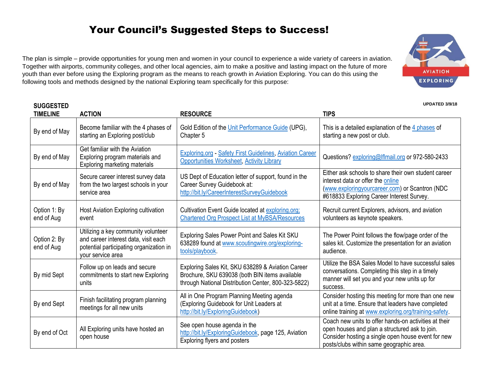## Your Council's Suggested Steps to Success!

The plan is simple – provide opportunities for young men and women in your council to experience a wide variety of careers in aviation. Together with airports, community colleges, and other local agencies, aim to make a positive and lasting impact on the future of more youth than ever before using the Exploring program as the means to reach growth in Aviation Exploring. You can do this using the following tools and methods designed by the national Exploring team specifically for this purpose:

**SUGGESTED** 

**UPDATED 3/9/18**

| <b>TIMELINE</b>            | <b>ACTION</b>                                                                                                                               | <b>RESOURCE</b>                                                                                                                                            | <b>TIPS</b>                                                                                                                                                                                               |
|----------------------------|---------------------------------------------------------------------------------------------------------------------------------------------|------------------------------------------------------------------------------------------------------------------------------------------------------------|-----------------------------------------------------------------------------------------------------------------------------------------------------------------------------------------------------------|
| By end of May              | Become familiar with the 4 phases of<br>starting an Exploring post/club                                                                     | Gold Edition of the Unit Performance Guide (UPG),<br>Chapter 5                                                                                             | This is a detailed explanation of the 4 phases of<br>starting a new post or club.                                                                                                                         |
| By end of May              | Get familiar with the Aviation<br>Exploring program materials and<br>Exploring marketing materials                                          | <b>Exploring.org - Safety First Guidelines, Aviation Career</b><br><b>Opportunities Worksheet, Activity Library</b>                                        | Questions? exploring@Iflmail.org or 972-580-2433                                                                                                                                                          |
| By end of May              | Secure career interest survey data<br>from the two largest schools in your<br>service area                                                  | US Dept of Education letter of support, found in the<br>Career Survey Guidebook at:<br>http://bit.ly/CareerInterestSurveyGuidebook                         | Either ask schools to share their own student career<br>interest data or offer the online<br>(www.exploringyourcareer.com) or Scantron (NDC<br>#618833 Exploring Career Interest Survey.                  |
| Option 1: By<br>end of Aug | Host Aviation Exploring cultivation<br>event                                                                                                | Cultivation Event Guide located at exploring.org;<br><b>Chartered Org Prospect List at MyBSA/Resources</b>                                                 | Recruit current Explorers, advisors, and aviation<br>volunteers as keynote speakers.                                                                                                                      |
| Option 2: By<br>end of Aug | Utilizing a key community volunteer<br>and career interest data, visit each<br>potential participating organization in<br>your service area | Exploring Sales Power Point and Sales Kit SKU<br>638289 found at www.scoutingwire.org/exploring-<br>tools/playbook.                                        | The Power Point follows the flow/page order of the<br>sales kit. Customize the presentation for an aviation<br>audience.                                                                                  |
| By mid Sept                | Follow up on leads and secure<br>commitments to start new Exploring<br>units                                                                | Exploring Sales Kit, SKU 638289 & Aviation Career<br>Brochure, SKU 639038 (both BIN items available<br>through National Distribution Center, 800-323-5822) | Utilize the BSA Sales Model to have successful sales<br>conversations. Completing this step in a timely<br>manner will set you and your new units up for<br>success.                                      |
| By end Sept                | Finish facilitating program planning<br>meetings for all new units                                                                          | All in One Program Planning Meeting agenda<br>(Exploring Guidebook for Unit Leaders at<br>http://bit.ly/ExploringGuidebook)                                | Consider hosting this meeting for more than one new<br>unit at a time. Ensure that leaders have completed<br>online training at www.exploring.org/training-safety.                                        |
| By end of Oct              | All Exploring units have hosted an<br>open house                                                                                            | See open house agenda in the<br>http://bit.ly/ExploringGuidebook, page 125, Aviation<br>Exploring flyers and posters                                       | Coach new units to offer hands-on activities at their<br>open houses and plan a structured ask to join.<br>Consider hosting a single open house event for new<br>posts/clubs within same geographic area. |